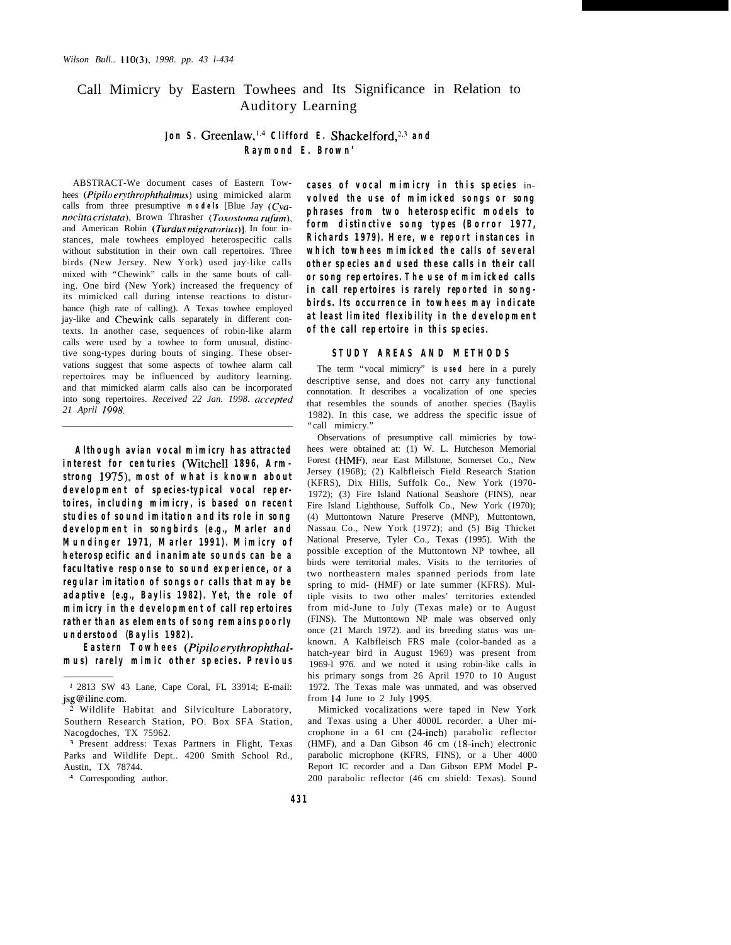# Call Mimicry by Eastern Towhees and Its Significance in Relation to Auditory Learning

## **Jon S.** Greenlaw,<sup>1,4</sup> Clifford E. Shackelford,<sup>2,3</sup> and **Raym ond E. Brow n'**

ABSTRACT-We document cases of Eastern Towhees *(Pipilo eryhrophrhalmus)* using mimicked alarm calls from three presumptive **m** ode **ls** [Blue Jay (Cva*nocitta cristata),* Brown Thrasher *(Toxostoma rufum),* and American Robin *(Turdus migratorius)].* In four instances, male towhees employed heterospecific calls without substitution in their own call repertoires. Three birds (New Jersey. New York) used jay-like calls mixed with "Chewink" calls in the same bouts of calling. One bird (New York) increased the frequency of its mimicked call during intense reactions to disturbance (high rate of calling). A Texas towhee employed jay-like and Chewink calls separately in different contexts. In another case, sequences of robin-like alarm calls were used by a towhee to form unusual, distinctive song-types during bouts of singing. These observations suggest that some aspects of towhee alarm call repertoires may be influenced by auditory learning. and that mimicked alarm calls also can be incorporated into song repertoires. *Received 22 Jan. 1998. accepted 21 April 199X.*

**Alth ough avian vocal m im icry h as attracted interest for centuries** (Witchell 1896, Arm**strong 19 75), m ost of w h at is k now n ab out** development of species-typical vocal repertoires, including mimicry, is based on recent **studies of sound im itation and its role in song** development in songbirds (e.g., Marler and **Mund inge r 19 71, M arle r 19 9 1). M im icry of h ete rospecific and inanim ate sounds can be a facultative response to sound experience, or a regular im itation of songs or calls th at m ay b e** adaptive (e.g., Baylis 1982). Yet, the role of **m im icry in th e developm ent of call repertoires** rather than as elements of song remains poorly understood (Baylis 1982).

**Eastern Towhees** (Pipilo erythrophthal**m us) rare ly m im ic oth e r species. Pre vious**

<sup>4</sup> Corresponding author.

**cases of vocal mimicry in this species** in**volved** the use of mimicked songs or song **ph rases from tw o h ete rospecific m odels to** form distinctive song types (Borror 1977, **Rich ards 19 79 ). H e re, w e report instances in w h ich tow h ees m im ick ed th e calls of seve ral oth e r species and used th ese calls in th eir call or song repertoires. The use of mimicked calls in call repertoires is rarely reported in songbirds. Its occurrence in towhees may indicate at least lim ited flexib ility in th e developm ent of th e call repertoire in th is species.**

## **STUD Y AREAS AND M ETH O D S**

The term "vocal mimicry" is **use d** here in a purely descriptive sense, and does not carry any functional connotation. It describes a vocalization of one species that resembles the sounds of another species (Baylis 1982). In this case, we address the specific issue of "call mimicry."

Observations of presumptive call mimicries by towhees were obtained at: (1) W. L. Hutcheson Memorial Forest (HMF). near East Millstone, Somerset Co., New Jersey (1968); (2) Kalbfleisch Field Research Station (KFRS), Dix Hills, Suffolk Co., New York (1970- 1972); (3) Fire Island National Seashore (FINS), near Fire Island Lighthouse, Suffolk Co., New York (1970); (4) Muttontown Nature Preserve (MNP), Muttontown, Nassau Co., New York (1972); and (5) Big Thicket National Preserve, Tyler Co., Texas (1995). With the possible exception of the Muttontown NP towhee, all birds were territorial males. Visits to the territories of two northeastern males spanned periods from late spring to mid- (HMF) or late summer (KFRS). Multiple visits to two other males' territories extended from mid-June to July (Texas male) or to August (FINS). The Muttontown NP male was observed only once (21 March 1972). and its breeding status was unknown. A Kalbfleisch FRS male (color-banded as a hatch-year bird in August 1969) was present from 1969-l 976. and we noted it using robin-like calls in his primary songs from 26 April 1970 to 10 August 1972. The Texas male was unmated, and was observed from  $14$  June to 2 July 1995.

Mimicked vocalizations were taped in New York and Texas using a Uher 4000L recorder. a Uher microphone in a 61 cm (24.inch) parabolic reflector (HMF), and a Dan Gibson 46 cm (18-inch) electronic parabolic microphone (KFRS, FINS), or a Uher 4000 Report IC recorder and a Dan Gibson EPM Model P-200 parabolic reflector (46 cm shield: Texas). Sound

<sup>&#</sup>x27; 2813 SW 43 Lane, Cape Coral, FL 33914; E-mail: jsg@iline.com.

 $\frac{2}{3}$  Wildlife Habitat and Silviculture Laboratory, Southern Research Station, PO. Box SFA Station, Nacogdoches, TX 75962.

<sup>1</sup> Present address: Texas Partners in Flight, Texas Parks and Wildlife Dept.. 4200 Smith School Rd., Austin, TX 78744.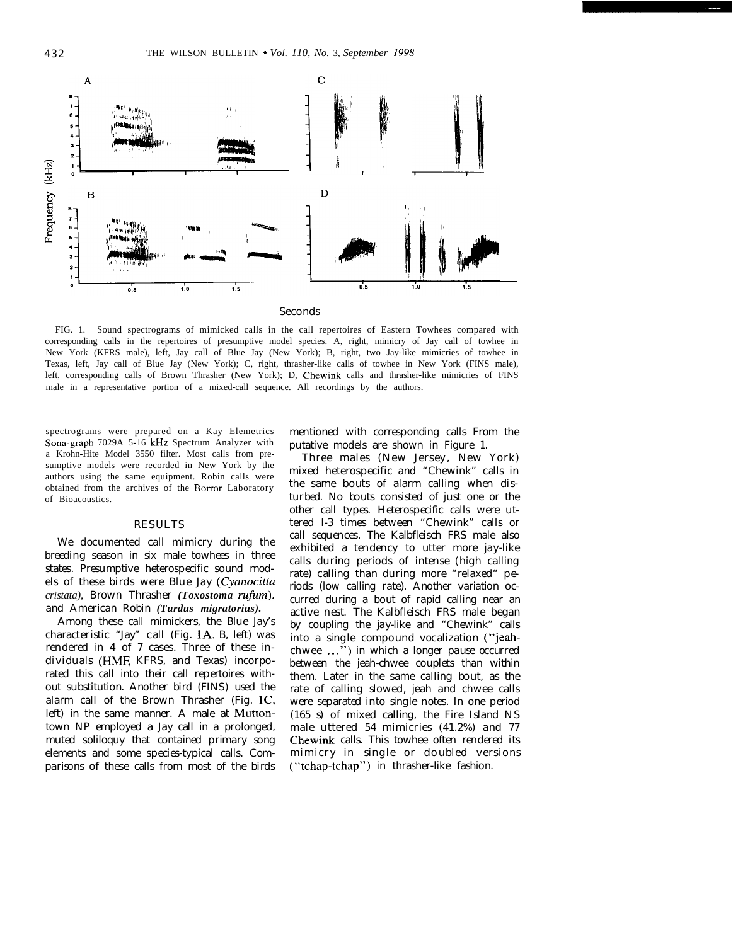

FIG. 1. Sound spectrograms of mimicked calls in the call repertoires of Eastern Towhees compared with corresponding calls in the repertoires of presumptive model species. A, right, mimicry of Jay call of towhee in New York (KFRS male), left, Jay call of Blue Jay (New York); B, right, two Jay-like mimicries of towhee in Texas, left, Jay call of Blue Jay (New York); C, right, thrasher-like calls of towhee in New York (FINS male), left, corresponding calls of Brown Thrasher (New York); D, Chewink calls and thrasher-like mimicries of FINS male in a representative portion of a mixed-call sequence. All recordings by the authors.

spectrograms were prepared on a Kay Elemetrics Sona-graph 7029A 5-16 kHz Spectrum Analyzer with a Krohn-Hite Model 3550 filter. Most calls from presumptive models were recorded in New York by the authors using the same equipment. Robin calls were obtained from the archives of the Borror Laboratory of Bioacoustics.

## **RESULTS**

We docum ented call mimicry during the breeding season in six m ale tow hees in three states. Presum ptive heterospecific sound models of these birds were Blue Jay (Cyanocitta *cristata*), Brown Thrasher *(Toxostoma rufum)*, and A m e rican R obin *(Turdus migratorius).*

Am ong these call mimickers, the Blue Jay's ch aracteristic "Jay" call (Fig. 1A, B, left) w as rendered in 4 of 7 cases. Three of these individuals (HMF, KFRS, and Texas) incorporated this call into their call repertoires without substitution. Another bird (FINS) used the alarm call of the Brown Thrasher (Fig.  $1C$ , left) in the same manner. A male at Muttontown NP employed a Jay call in a prolonged, m uted soliloq uy th at contained prim ary song elem ents and som e species-typical calls. Com parisons of these calls from most of the birds

m entioned with corresponding calls From the putative models are shown in Figure 1.

Three males (New Jersey, New York) m ixed h e te rospecific and "Ch e w ink " calls in the same bouts of alarm calling when disturbed. No bouts consisted of just one or the other call types. Heterospecific calls were utte red l-3 tim es betw een "Ch e w ink " calls or call sequences. The Kalbfleisch FRS male also exhibited a tendency to utter more jay-like calls during periods of intense (high calling rate) calling than during m ore "relaxed" periods (low calling rate). A nother variation occurred during a bout of rapid calling near an active nest. The K alb fleisch FRS m ale began by coupling the jay-like and "Chewink" calls into a single com pound vocaliz ation ("jeah ch w ee ...") in which a longer pause occurred betw een the jeah-chwee couplets than within them. Later in the same calling bout, as the rate of calling slowed, jeah and chwee calls w ere separated into single notes. In one period  $(165 s)$  of mixed calling, the Fire Island NS m ale utte red 54 m im icries (41.2%) and 77 Chewink calls. This towhee often rendered its m im icry in single or doubled versions ("tchap-tchap") in thrasher-like fashion.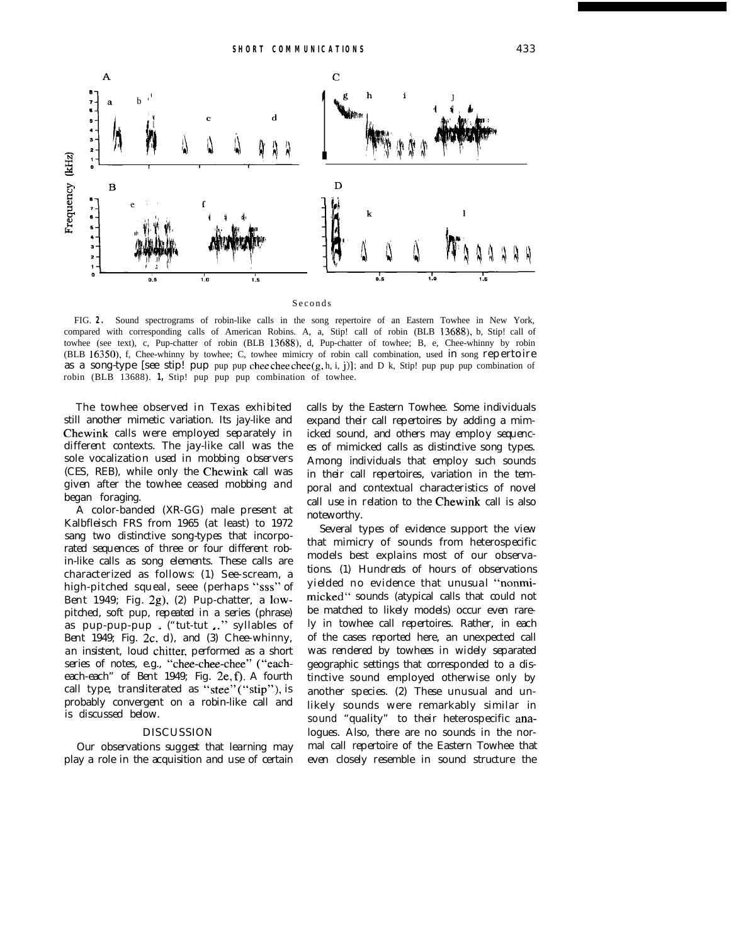

**Seconds** 

FIG. **2.** Sound spectrograms of robin-like calls in the song repertoire of an Eastern Towhee in New York, compared with corresponding calls of American Robins. A, a, Stip! call of robin (BLB 13688), b, Stip! call of towhee (see text), c, Pup-chatter of robin (BLB 13688), d, Pup-chatter of towhee; B, e, Chee-whinny by robin (BLB 16350), f, Chee-whinny by towhee; C, towhee mimicry of robin call combination, used in song repe rtoire as a song-type [see stip! pup pup pup chee chee chee  $(g, h, i, j)$ ]; and D k, Stip! pup pup combination of robin (BLB 13688). **1,** Stip! pup pup pup combination of towhee.

The tow hee observed in Texas exhibited still another mimetic variation. Its jay-like and Chewink calls were employed separately in different contexts. The jay-like call was the sole vocaliz ation used in m obbing observe rs (CES, REB), while only the Chewink call was given after the tow hee ceased mobbing and began foraging.

A color-banded (XR - GG) m ale present at Kalb fleisch FRS from 1965 (at least) to 1972 sang two distinctive song-types that incorporated sequences of three or four different robin-like calls as song elements. These calls are ch aracte rized as follow s: (1) See-s cre am , a h igh -pitch ed sque al, seee (pe rh aps "sss" of Bent 1949; Fig. 2g), (2) Pup-chatter, a lowpitched, soft pup, repeated in a series (phrase) as pup-pup-pup. ("tut-tut ." syllables of Bent 1949; Fig. 2c, d), and (3)  $\text{Check}$  whinny, an insistent, loud chitter, performed as a short series of notes, e.g., "chee-chee-chee" ("eacheach-each" of Bent 1949; Fig. 2e, f). A fourth call type, translite rated as "stee" ("stip"), is probably convergent on a robin-like call and is discussed below .

#### D ISCUSSIO N

Our observations suggest that learning may play a role in the acquisition and use of certain calls by the Eastern Towhee. Some individuals expand their call repertoires by adding a mimicked sound, and others may employ sequences of m im ick ed calls as distinctive song types. A m ong individuals th at em ploy such sounds in their call repertoires, variation in the temporal and conte xtual ch aracte ristics of nove l call use in relation to the Chewink call is also note w orth y.

Se veral types of evidence support the view that mimicry of sounds from heterospecific m odels best explains m ost of our observations. (1) H undreds of hours of observations yielded no evidence that unusual "nonmimicked" sounds (atypical calls that could not be matched to likely models) occur even rarely in tow hee call repertoires. Rather, in each of the cases reported here, an unexpected call w as rendered by tow hees in widely separated geograph ic settings th at corresponded to a distinctive sound employed otherwise only by another species. (2) These unusual and unlikely sounds were rem arkably similar in sound "quality" to their heterospecific analogues. A lso, there are no sounds in the norm al call repertoire of the Eastern Towhee that even closely resemble in sound structure the